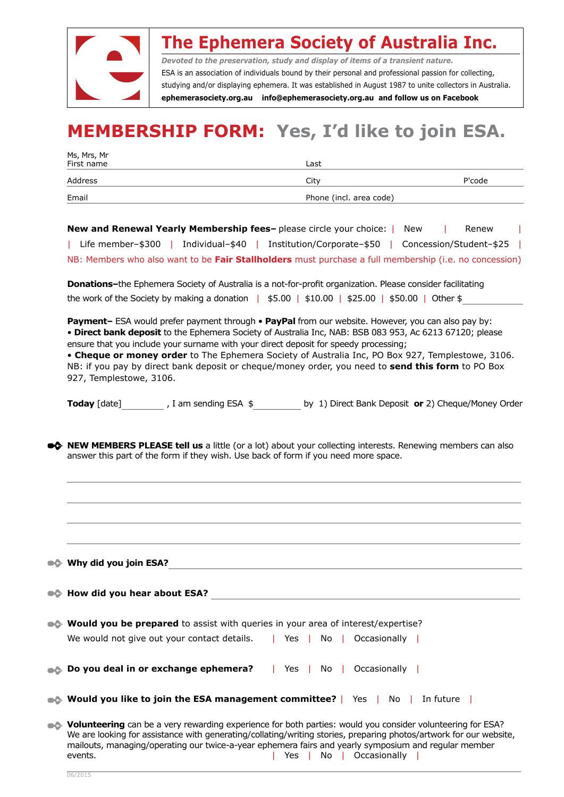

## **The Ephemera Society of Australia Inc.**

*Devoted to the preservation, study and display of items of a transient nature.* ESA is an association of individuals bound by their personal and professional passion for collecting, studying and/or displaying ephemera. It was established in August 1987 to unite collectors in Australia. **ephemerasociety.org.au info@ephemerasociety.org.au and follow us on Facebook**

## **MEMBERSHIP FORM: Yes, I'd like to join ESA.**

| Ms, Mrs, Mr<br>First name |                         |        |  |
|---------------------------|-------------------------|--------|--|
|                           | Last                    |        |  |
| Address                   | City                    | P'code |  |
| Email                     | Phone (incl. area code) |        |  |

**New and Renewal Yearly Membership fees-** please circle your choice: | New | Renew | Life member–\$300 | Individual–\$40 | Institution/Corporate–\$50 | Concession/Student–\$25 | NB: Members who also want to be **Fair Stallholders** must purchase a full membership (i.e. no concession)

**Donations–**the Ephemera Society of Australia is a not-for-profit organization. Please consider facilitating the work of the Society by making a donation |  $$5.00$  | \$10.00 | \$25.00 | \$50.00 | Other \$

**Payment–** ESA would prefer payment through • **PayPal** from our website. However, you can also pay by: • **Direct bank deposit** to the Ephemera Society of Australia Inc, NAB: BSB 083 953, Ac 6213 67120; please ensure that you include your surname with your direct deposit for speedy processing;

• **Cheque or money order** to The Ephemera Society of Australia Inc, PO Box 927, Templestowe, 3106. NB: if you pay by direct bank deposit or cheque/money order, you need to **send this form** to PO Box 927, Templestowe, 3106.

**Today** [date] , I am sending ESA  $\oint$  by 1) Direct Bank Deposit **or** 2) Cheque/Money Order

**EX NEW MEMBERS PLEASE tell us** a little (or a lot) about your collecting interests. Renewing members can also answer this part of the form if they wish. Use back of form if you need more space.

| $\bullet$ Why did you join ESA?                                                                                                                                                                                                                                                                                                                                                   |
|-----------------------------------------------------------------------------------------------------------------------------------------------------------------------------------------------------------------------------------------------------------------------------------------------------------------------------------------------------------------------------------|
| ●← How did you hear about ESA?                                                                                                                                                                                                                                                                                                                                                    |
| • <b>Would you be prepared</b> to assist with queries in your area of interest/expertise?                                                                                                                                                                                                                                                                                         |
| We would not give out your contact details.   Yes  <br>No   Occasionally                                                                                                                                                                                                                                                                                                          |
| <b>Do you deal in or exchange ephemera?</b>   Yes  <br>Occasionally  <br>No I                                                                                                                                                                                                                                                                                                     |
| $\bullet$ Would you like to join the ESA management committee?   Yes   No   In future                                                                                                                                                                                                                                                                                             |
| • Volunteering can be a very rewarding experience for both parties: would you consider volunteering for ESA?<br>We are looking for assistance with generating/collating/writing stories, preparing photos/artwork for our website,<br>mailouts, managing/operating our twice-a-year ephemera fairs and yearly symposium and regular member<br>No   Occasionally<br>events.<br>Yes |